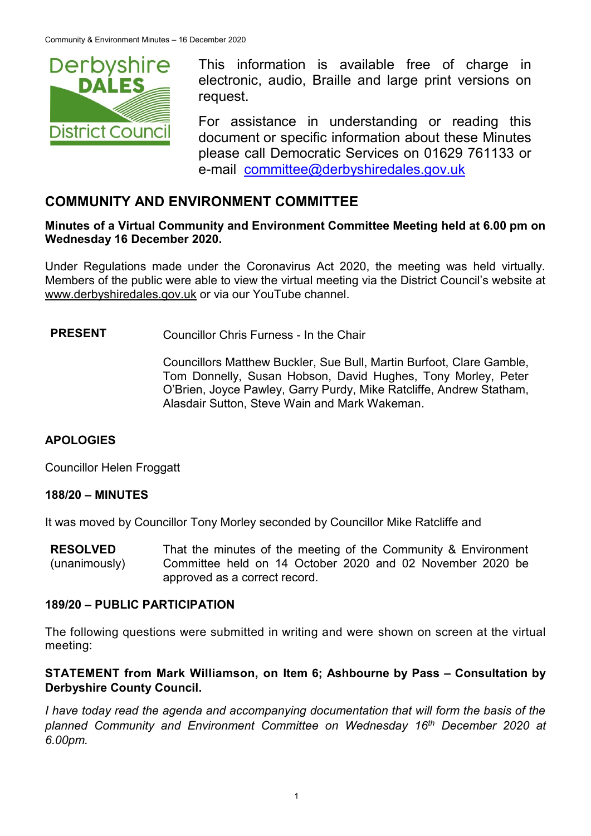

This information is available free of charge in electronic, audio, Braille and large print versions on request.

For assistance in understanding or reading this document or specific information about these Minutes please call Democratic Services on 01629 761133 or e-mail [committee@derbyshiredales.gov.uk](mailto:brian.evans@derbyshiredales.gov.uk)

# **COMMUNITY AND ENVIRONMENT COMMITTEE**

### **Minutes of a Virtual Community and Environment Committee Meeting held at 6.00 pm on Wednesday 16 December 2020.**

Under Regulations made under the Coronavirus Act 2020, the meeting was held virtually. Members of the public were able to view the virtual meeting via the District Council's website at [www.derbyshiredales.gov.uk](http://www.derbyshiredales.gov.uk/) or via our YouTube channel.

**PRESENT** Councillor Chris Furness - In the Chair

Councillors Matthew Buckler, Sue Bull, Martin Burfoot, Clare Gamble, Tom Donnelly, Susan Hobson, David Hughes, Tony Morley, Peter O'Brien, Joyce Pawley, Garry Purdy, Mike Ratcliffe, Andrew Statham, Alasdair Sutton, Steve Wain and Mark Wakeman.

### **APOLOGIES**

Councillor Helen Froggatt

### **188/20 – MINUTES**

It was moved by Councillor Tony Morley seconded by Councillor Mike Ratcliffe and

**RESOLVED** (unanimously) That the minutes of the meeting of the Community & Environment Committee held on 14 October 2020 and 02 November 2020 be approved as a correct record.

#### **189/20 – PUBLIC PARTICIPATION**

The following questions were submitted in writing and were shown on screen at the virtual meeting:

### **STATEMENT from Mark Williamson, on Item 6; Ashbourne by Pass - Consultation by Derbyshire County Council.**

I have today read the agenda and accompanying documentation that will form the basis of the *planned Community and Environment Committee on Wednesday 16th December 2020 at 6.00pm.*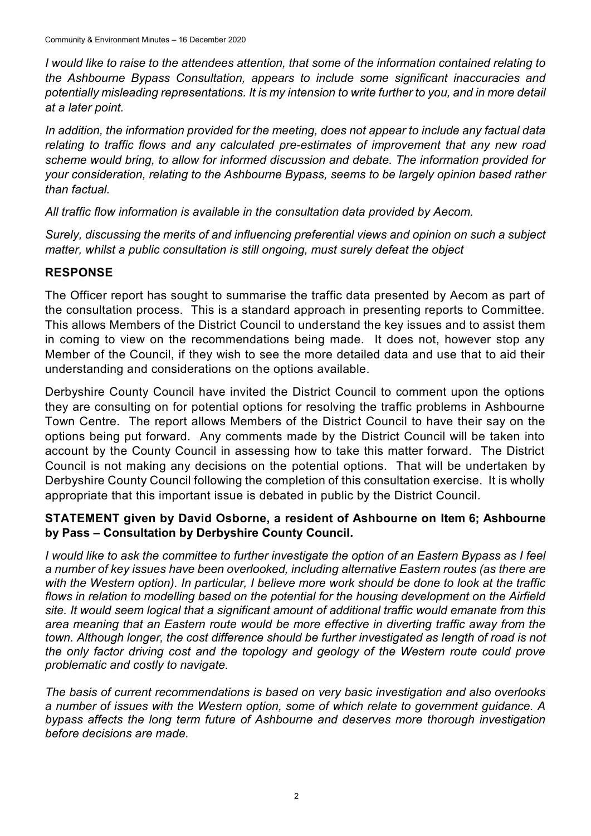*I would like to raise to the attendees attention, that some of the information contained relating to the Ashbourne Bypass Consultation, appears to include some significant inaccuracies and potentially misleading representations. It is my intension to write further to you, and in more detail at a later point.*

*In addition, the information provided for the meeting, does not appear to include any factual data relating to traffic flows and any calculated pre-estimates of improvement that any new road scheme would bring, to allow for informed discussion and debate. The information provided for your consideration, relating to the Ashbourne Bypass, seems to be largely opinion based rather than factual.*

*All traffic flow information is available in the consultation data provided by Aecom.*

*Surely, discussing the merits of and influencing preferential views and opinion on such a subject matter, whilst a public consultation is still ongoing, must surely defeat the object* 

### **RESPONSE**

The Officer report has sought to summarise the traffic data presented by Aecom as part of the consultation process. This is a standard approach in presenting reports to Committee. This allows Members of the District Council to understand the key issues and to assist them in coming to view on the recommendations being made. It does not, however stop any Member of the Council, if they wish to see the more detailed data and use that to aid their understanding and considerations on the options available.

Derbyshire County Council have invited the District Council to comment upon the options they are consulting on for potential options for resolving the traffic problems in Ashbourne Town Centre. The report allows Members of the District Council to have their say on the options being put forward. Any comments made by the District Council will be taken into account by the County Council in assessing how to take this matter forward. The District Council is not making any decisions on the potential options. That will be undertaken by Derbyshire County Council following the completion of this consultation exercise. It is wholly appropriate that this important issue is debated in public by the District Council.

### **STATEMENT given by David Osborne, a resident of Ashbourne on Item 6; Ashbourne by Pass – Consultation by Derbyshire County Council.**

*I would like to ask the committee to further investigate the option of an Eastern Bypass as I feel a number of key issues have been overlooked, including alternative Eastern routes (as there are with the Western option). In particular, I believe more work should be done to look at the traffic flows in relation to modelling based on the potential for the housing development on the Airfield site. It would seem logical that a significant amount of additional traffic would emanate from this area meaning that an Eastern route would be more effective in diverting traffic away from the*  town. Although longer, the cost difference should be further investigated as length of road is not *the only factor driving cost and the topology and geology of the Western route could prove problematic and costly to navigate.* 

*The basis of current recommendations is based on very basic investigation and also overlooks a number of issues with the Western option, some of which relate to government guidance. A bypass affects the long term future of Ashbourne and deserves more thorough investigation before decisions are made.*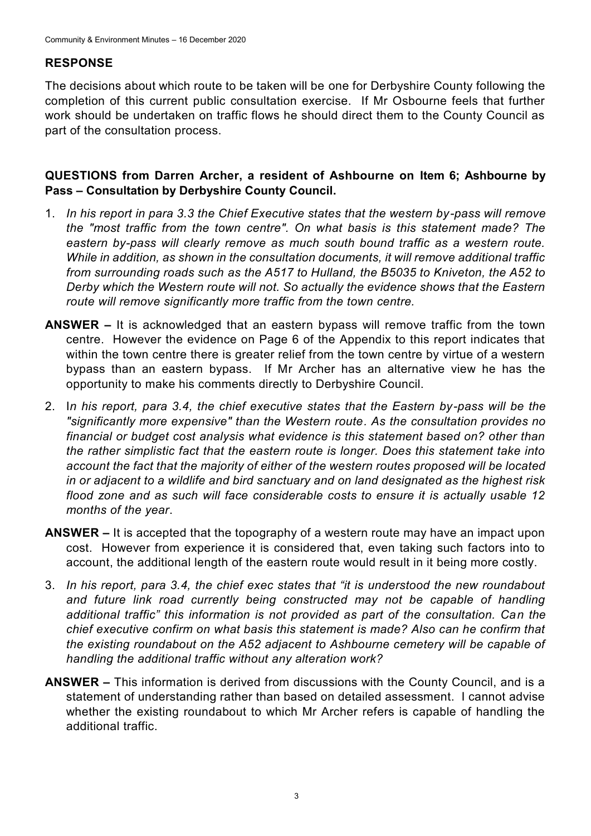# **RESPONSE**

The decisions about which route to be taken will be one for Derbyshire County following the completion of this current public consultation exercise. If Mr Osbourne feels that further work should be undertaken on traffic flows he should direct them to the County Council as part of the consultation process.

### **QUESTIONS from Darren Archer, a resident of Ashbourne on Item 6; Ashbourne by Pass – Consultation by Derbyshire County Council.**

- 1. *In his report in para 3.3 the Chief Executive states that the western by-pass will remove the "most traffic from the town centre". On what basis is this statement made? The eastern by-pass will clearly remove as much south bound traffic as a western route. While in addition, as shown in the consultation documents, it will remove additional traffic from surrounding roads such as the A517 to Hulland, the B5035 to Kniveton, the A52 to Derby which the Western route will not. So actually the evidence shows that the Eastern route will remove significantly more traffic from the town centre.*
- **ANSWER –** It is acknowledged that an eastern bypass will remove traffic from the town centre. However the evidence on Page 6 of the Appendix to this report indicates that within the town centre there is greater relief from the town centre by virtue of a western bypass than an eastern bypass. If Mr Archer has an alternative view he has the opportunity to make his comments directly to Derbyshire Council.
- 2. I*n his report, para 3.4, the chief executive states that the Eastern by-pass will be the "significantly more expensive" than the Western route. As the consultation provides no financial or budget cost analysis what evidence is this statement based on? other than the rather simplistic fact that the eastern route is longer. Does this statement take into account the fact that the majority of either of the western routes proposed will be located in or adjacent to a wildlife and bird sanctuary and on land designated as the highest risk flood zone and as such will face considerable costs to ensure it is actually usable 12 months of the year*.
- **ANSWER –** It is accepted that the topography of a western route may have an impact upon cost. However from experience it is considered that, even taking such factors into to account, the additional length of the eastern route would result in it being more costly.
- 3. *In his report, para 3.4, the chief exec states that "it is understood the new roundabout*  and future link road currently being constructed may not be capable of handling *additional traffic" this information is not provided as part of the consultation. Can the chief executive confirm on what basis this statement is made? Also can he confirm that the existing roundabout on the A52 adjacent to Ashbourne cemetery will be capable of handling the additional traffic without any alteration work?*
- **ANSWER –** This information is derived from discussions with the County Council, and is a statement of understanding rather than based on detailed assessment. I cannot advise whether the existing roundabout to which Mr Archer refers is capable of handling the additional traffic.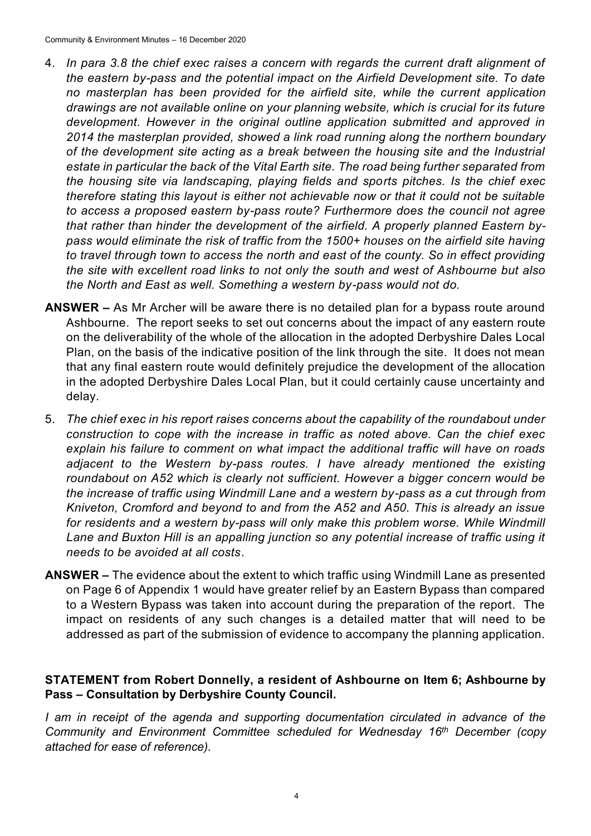- 4. *In para 3.8 the chief exec raises a concern with regards the current draft alignment of the eastern by-pass and the potential impact on the Airfield Development site. To date no masterplan has been provided for the airfield site, while the current application drawings are not available online on your planning website, which is crucial for its future development. However in the original outline application submitted and approved in 2014 the masterplan provided, showed a link road running along the northern boundary of the development site acting as a break between the housing site and the Industrial estate in particular the back of the Vital Earth site. The road being further separated from the housing site via landscaping, playing fields and sports pitches. Is the chief exec therefore stating this layout is either not achievable now or that it could not be suitable to access a proposed eastern by-pass route? Furthermore does the council not agree that rather than hinder the development of the airfield. A properly planned Eastern bypass would eliminate the risk of traffic from the 1500+ houses on the airfield site having to travel through town to access the north and east of the county. So in effect providing the site with excellent road links to not only the south and west of Ashbourne but also the North and East as well. Something a western by-pass would not do.*
- **ANSWER –** As Mr Archer will be aware there is no detailed plan for a bypass route around Ashbourne. The report seeks to set out concerns about the impact of any eastern route on the deliverability of the whole of the allocation in the adopted Derbyshire Dales Local Plan, on the basis of the indicative position of the link through the site. It does not mean that any final eastern route would definitely prejudice the development of the allocation in the adopted Derbyshire Dales Local Plan, but it could certainly cause uncertainty and delay.
- 5. *The chief exec in his report raises concerns about the capability of the roundabout under construction to cope with the increase in traffic as noted above. Can the chief exec explain his failure to comment on what impact the additional traffic will have on roads adjacent to the Western by-pass routes. I have already mentioned the existing roundabout on A52 which is clearly not sufficient. However a bigger concern would be the increase of traffic using Windmill Lane and a western by-pass as a cut through from Kniveton, Cromford and beyond to and from the A52 and A50. This is already an issue*  for residents and a western by-pass will only make this problem worse. While Windmill *Lane and Buxton Hill is an appalling junction so any potential increase of traffic using it needs to be avoided at all costs*.
- **ANSWER –** The evidence about the extent to which traffic using Windmill Lane as presented on Page 6 of Appendix 1 would have greater relief by an Eastern Bypass than compared to a Western Bypass was taken into account during the preparation of the report. The impact on residents of any such changes is a detailed matter that will need to be addressed as part of the submission of evidence to accompany the planning application.

### **STATEMENT from Robert Donnelly, a resident of Ashbourne on Item 6; Ashbourne by Pass – Consultation by Derbyshire County Council.**

*I am in receipt of the agenda and supporting documentation circulated in advance of the Community and Environment Committee scheduled for Wednesday 16th December (copy attached for ease of reference).*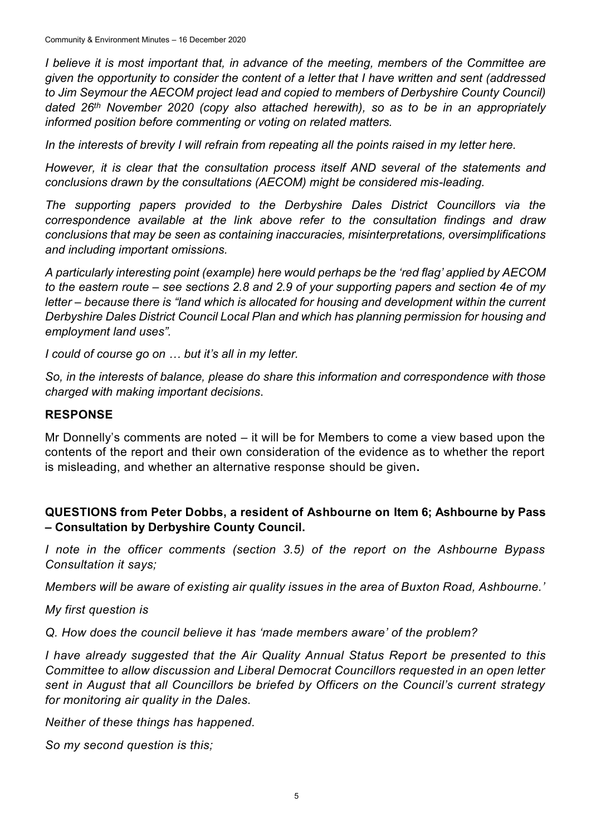*I believe it is most important that, in advance of the meeting, members of the Committee are given the opportunity to consider the content of a letter that I have written and sent (addressed to Jim Seymour the AECOM project lead and copied to members of Derbyshire County Council) dated 26th November 2020 (copy also attached herewith), so as to be in an appropriately informed position before commenting or voting on related matters.*

*In the interests of brevity I will refrain from repeating all the points raised in my letter here.*

*However, it is clear that the consultation process itself AND several of the statements and conclusions drawn by the consultations (AECOM) might be considered mis-leading.*

*The supporting papers provided to the Derbyshire Dales District Councillors via the correspondence available at the link above refer to the consultation findings and draw conclusions that may be seen as containing inaccuracies, misinterpretations, oversimplifications and including important omissions.*

*A particularly interesting point (example) here would perhaps be the 'red flag' applied by AECOM to the eastern route – see sections 2.8 and 2.9 of your supporting papers and section 4e of my letter – because there is "land which is allocated for housing and development within the current Derbyshire Dales District Council Local Plan and which has planning permission for housing and employment land uses".*

*I could of course go on … but it's all in my letter.*

*So, in the interests of balance, please do share this information and correspondence with those charged with making important decisions*.

### **RESPONSE**

Mr Donnelly's comments are noted – it will be for Members to come a view based upon the contents of the report and their own consideration of the evidence as to whether the report is misleading, and whether an alternative response should be given**.**

## **QUESTIONS from Peter Dobbs, a resident of Ashbourne on Item 6; Ashbourne by Pass – Consultation by Derbyshire County Council.**

*I note in the officer comments (section 3.5) of the report on the Ashbourne Bypass Consultation it says;* 

*Members will be aware of existing air quality issues in the area of Buxton Road, Ashbourne.'*

*My first question is* 

*Q. How does the council believe it has 'made members aware' of the problem?* 

*I have already suggested that the Air Quality Annual Status Report be presented to this Committee to allow discussion and Liberal Democrat Councillors requested in an open letter sent in August that all Councillors be briefed by Officers on the Council's current strategy for monitoring air quality in the Dales.* 

*Neither of these things has happened.*

*So my second question is this;*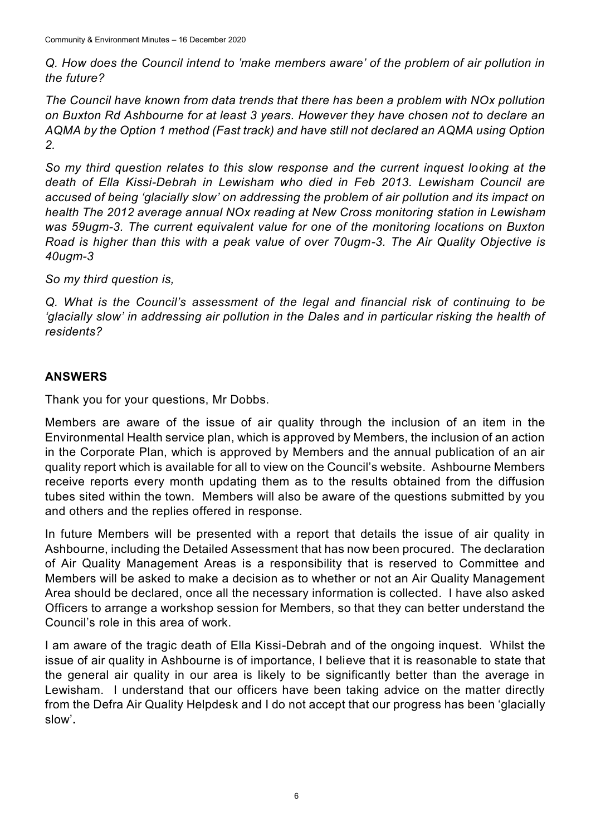*Q. How does the Council intend to 'make members aware' of the problem of air pollution in the future?*

*The Council have known from data trends that there has been a problem with NOx pollution on Buxton Rd Ashbourne for at least 3 years. However they have chosen not to declare an AQMA by the Option 1 method (Fast track) and have still not declared an AQMA using Option 2.*

*So my third question relates to this slow response and the current inquest looking at the death of Ella Kissi-Debrah in Lewisham who died in Feb 2013. Lewisham Council are accused of being 'glacially slow' on addressing the problem of air pollution and its impact on health The 2012 average annual NOx reading at New Cross monitoring station in Lewisham was 59ugm-3. The current equivalent value for one of the monitoring locations on Buxton Road is higher than this with a peak value of over 70ugm-3. The Air Quality Objective is 40ugm-3*

*So my third question is,*

*Q. What is the Council's assessment of the legal and financial risk of continuing to be 'glacially slow' in addressing air pollution in the Dales and in particular risking the health of residents?*

# **ANSWERS**

Thank you for your questions, Mr Dobbs.

Members are aware of the issue of air quality through the inclusion of an item in the Environmental Health service plan, which is approved by Members, the inclusion of an action in the Corporate Plan, which is approved by Members and the annual publication of an air quality report which is available for all to view on the Council's website. Ashbourne Members receive reports every month updating them as to the results obtained from the diffusion tubes sited within the town. Members will also be aware of the questions submitted by you and others and the replies offered in response.

In future Members will be presented with a report that details the issue of air quality in Ashbourne, including the Detailed Assessment that has now been procured. The declaration of Air Quality Management Areas is a responsibility that is reserved to Committee and Members will be asked to make a decision as to whether or not an Air Quality Management Area should be declared, once all the necessary information is collected. I have also asked Officers to arrange a workshop session for Members, so that they can better understand the Council's role in this area of work.

I am aware of the tragic death of Ella Kissi-Debrah and of the ongoing inquest. Whilst the issue of air quality in Ashbourne is of importance, I believe that it is reasonable to state that the general air quality in our area is likely to be significantly better than the average in Lewisham. I understand that our officers have been taking advice on the matter directly from the Defra Air Quality Helpdesk and I do not accept that our progress has been 'glacially slow'**.**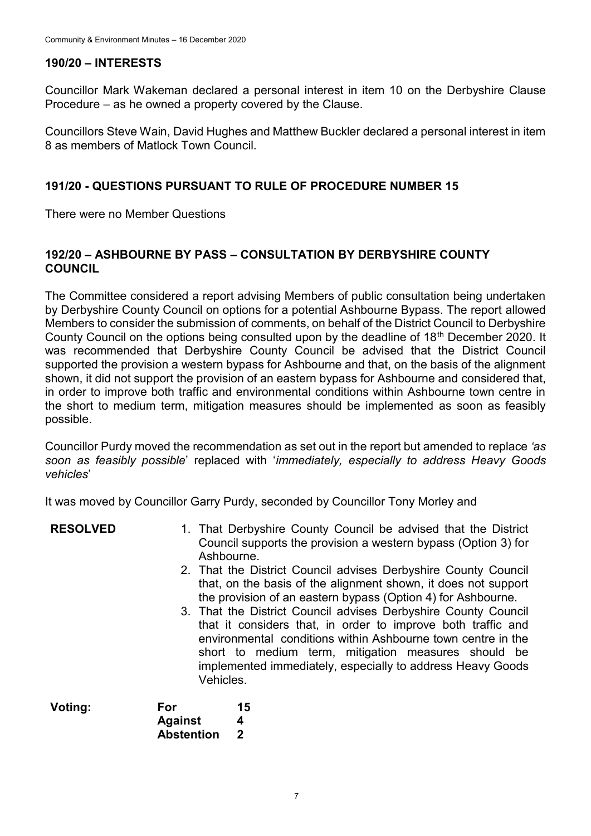## **190/20 – INTERESTS**

Councillor Mark Wakeman declared a personal interest in item 10 on the Derbyshire Clause Procedure – as he owned a property covered by the Clause.

Councillors Steve Wain, David Hughes and Matthew Buckler declared a personal interest in item 8 as members of Matlock Town Council.

### **191/20 - QUESTIONS PURSUANT TO RULE OF PROCEDURE NUMBER 15**

There were no Member Questions

### **192/20 – ASHBOURNE BY PASS – CONSULTATION BY DERBYSHIRE COUNTY COUNCIL**

The Committee considered a report advising Members of public consultation being undertaken by Derbyshire County Council on options for a potential Ashbourne Bypass. The report allowed Members to consider the submission of comments, on behalf of the District Council to Derbyshire County Council on the options being consulted upon by the deadline of 18<sup>th</sup> December 2020. It was recommended that Derbyshire County Council be advised that the District Council supported the provision a western bypass for Ashbourne and that, on the basis of the alignment shown, it did not support the provision of an eastern bypass for Ashbourne and considered that, in order to improve both traffic and environmental conditions within Ashbourne town centre in the short to medium term, mitigation measures should be implemented as soon as feasibly possible.

Councillor Purdy moved the recommendation as set out in the report but amended to replace *'as soon as feasibly possible*' replaced with '*immediately, especially to address Heavy Goods vehicles*'

It was moved by Councillor Garry Purdy, seconded by Councillor Tony Morley and

| <b>RESOLVED</b> | 1. That Derbyshire County Council be advised that the District<br>Council supports the provision a western bypass (Option 3) for<br>Ashbourne.<br>2. That the District Council advises Derbyshire County Council<br>that, on the basis of the alignment shown, it does not support<br>the provision of an eastern bypass (Option 4) for Ashbourne.<br>3. That the District Council advises Derbyshire County Council<br>that it considers that, in order to improve both traffic and<br>environmental conditions within Ashbourne town centre in the<br>short to medium term, mitigation measures should be<br>implemented immediately, especially to address Heavy Goods<br>Vehicles. |
|-----------------|----------------------------------------------------------------------------------------------------------------------------------------------------------------------------------------------------------------------------------------------------------------------------------------------------------------------------------------------------------------------------------------------------------------------------------------------------------------------------------------------------------------------------------------------------------------------------------------------------------------------------------------------------------------------------------------|
|                 |                                                                                                                                                                                                                                                                                                                                                                                                                                                                                                                                                                                                                                                                                        |

| Voting: | For               | 15 |
|---------|-------------------|----|
|         | Against           | 4  |
|         | <b>Abstention</b> | -2 |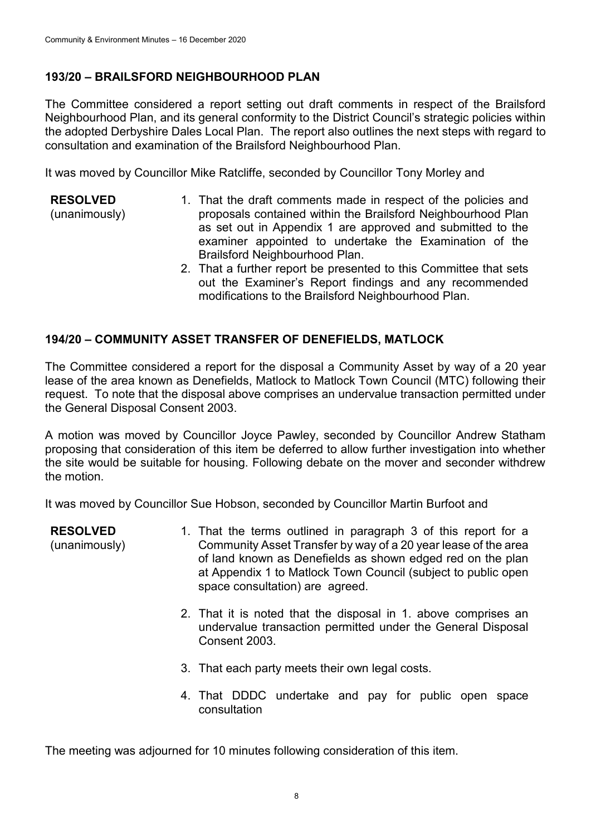# **193/20 – BRAILSFORD NEIGHBOURHOOD PLAN**

The Committee considered a report setting out draft comments in respect of the Brailsford Neighbourhood Plan, and its general conformity to the District Council's strategic policies within the adopted Derbyshire Dales Local Plan. The report also outlines the next steps with regard to consultation and examination of the Brailsford Neighbourhood Plan.

It was moved by Councillor Mike Ratcliffe, seconded by Councillor Tony Morley and

- **RESOLVED** (unanimously) 1. That the draft comments made in respect of the policies and proposals contained within the Brailsford Neighbourhood Plan as set out in Appendix 1 are approved and submitted to the examiner appointed to undertake the Examination of the Brailsford Neighbourhood Plan.
	- 2. That a further report be presented to this Committee that sets out the Examiner's Report findings and any recommended modifications to the Brailsford Neighbourhood Plan.

## **194/20 – COMMUNITY ASSET TRANSFER OF DENEFIELDS, MATLOCK**

The Committee considered a report for the disposal a Community Asset by way of a 20 year lease of the area known as Denefields, Matlock to Matlock Town Council (MTC) following their request. To note that the disposal above comprises an undervalue transaction permitted under the General Disposal Consent 2003.

A motion was moved by Councillor Joyce Pawley, seconded by Councillor Andrew Statham proposing that consideration of this item be deferred to allow further investigation into whether the site would be suitable for housing. Following debate on the mover and seconder withdrew the motion.

It was moved by Councillor Sue Hobson, seconded by Councillor Martin Burfoot and

**RESOLVED**

(unanimously)

- 1. That the terms outlined in paragraph 3 of this report for a Community Asset Transfer by way of a 20 year lease of the area of land known as Denefields as shown edged red on the plan at Appendix 1 to Matlock Town Council (subject to public open space consultation) are agreed.
- 2. That it is noted that the disposal in 1. above comprises an undervalue transaction permitted under the General Disposal Consent 2003.
- 3. That each party meets their own legal costs.
- 4. That DDDC undertake and pay for public open space consultation

The meeting was adjourned for 10 minutes following consideration of this item.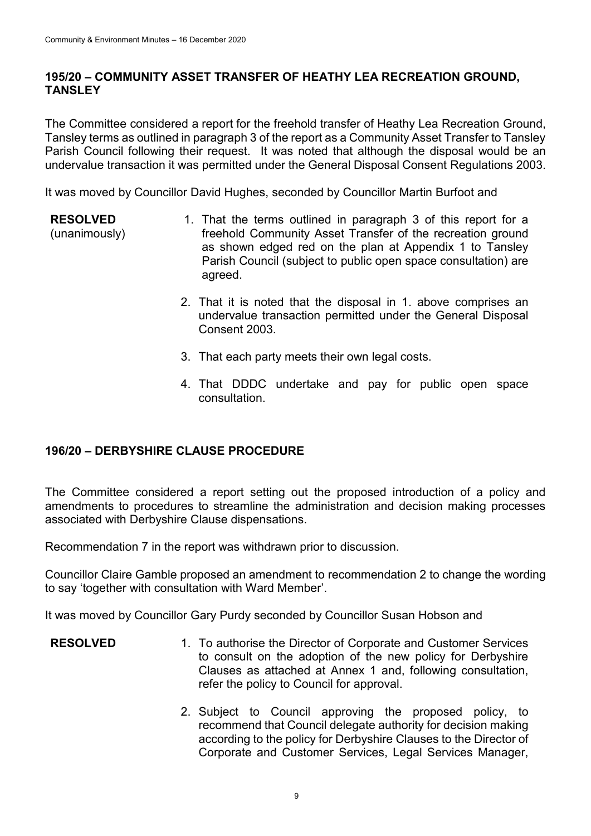### **195/20 – COMMUNITY ASSET TRANSFER OF HEATHY LEA RECREATION GROUND, TANSLEY**

The Committee considered a report for the freehold transfer of Heathy Lea Recreation Ground, Tansley terms as outlined in paragraph 3 of the report as a Community Asset Transfer to Tansley Parish Council following their request. It was noted that although the disposal would be an undervalue transaction it was permitted under the General Disposal Consent Regulations 2003.

It was moved by Councillor David Hughes, seconded by Councillor Martin Burfoot and

- **RESOLVED** (unanimously) 1. That the terms outlined in paragraph 3 of this report for a freehold Community Asset Transfer of the recreation ground as shown edged red on the plan at Appendix 1 to Tansley Parish Council (subject to public open space consultation) are agreed.
	- 2. That it is noted that the disposal in 1. above comprises an undervalue transaction permitted under the General Disposal Consent 2003.
	- 3. That each party meets their own legal costs.
	- 4. That DDDC undertake and pay for public open space consultation.

# **196/20 – DERBYSHIRE CLAUSE PROCEDURE**

The Committee considered a report setting out the proposed introduction of a policy and amendments to procedures to streamline the administration and decision making processes associated with Derbyshire Clause dispensations.

Recommendation 7 in the report was withdrawn prior to discussion.

Councillor Claire Gamble proposed an amendment to recommendation 2 to change the wording to say 'together with consultation with Ward Member'.

It was moved by Councillor Gary Purdy seconded by Councillor Susan Hobson and

- **RESOLVED** 1. To authorise the Director of Corporate and Customer Services to consult on the adoption of the new policy for Derbyshire Clauses as attached at Annex 1 and, following consultation, refer the policy to Council for approval.
	- 2. Subject to Council approving the proposed policy, to recommend that Council delegate authority for decision making according to the policy for Derbyshire Clauses to the Director of Corporate and Customer Services, Legal Services Manager,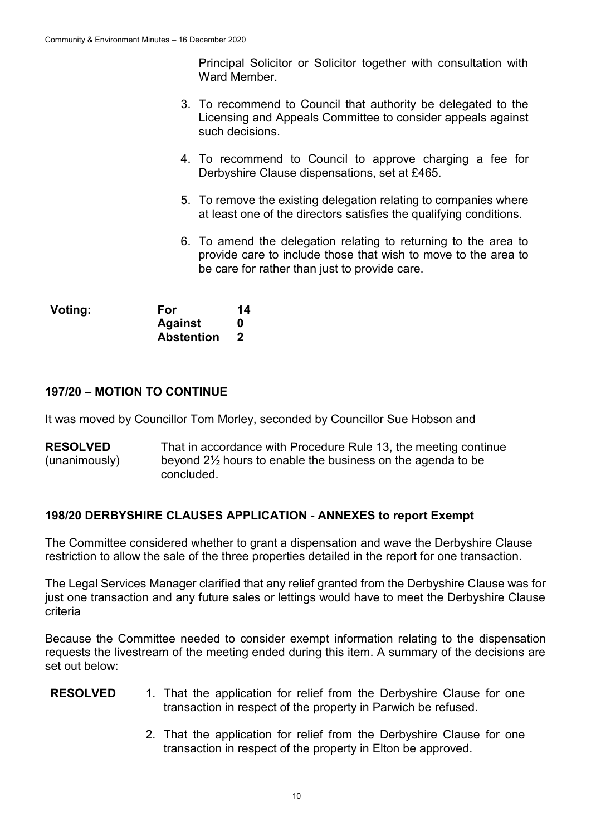Principal Solicitor or Solicitor together with consultation with Ward Member.

- 3. To recommend to Council that authority be delegated to the Licensing and Appeals Committee to consider appeals against such decisions.
- 4. To recommend to Council to approve charging a fee for Derbyshire Clause dispensations, set at £465.
- 5. To remove the existing delegation relating to companies where at least one of the directors satisfies the qualifying conditions.
- 6. To amend the delegation relating to returning to the area to provide care to include those that wish to move to the area to be care for rather than just to provide care.

| Voting: | <b>For</b>        | 14 |
|---------|-------------------|----|
|         | <b>Against</b>    | 0  |
|         | <b>Abstention</b> |    |

### **197/20 – MOTION TO CONTINUE**

It was moved by Councillor Tom Morley, seconded by Councillor Sue Hobson and

**RESOLVED** (unanimously) That in accordance with Procedure Rule 13, the meeting continue beyond 2½ hours to enable the business on the agenda to be concluded.

### **198/20 DERBYSHIRE CLAUSES APPLICATION - ANNEXES to report Exempt**

The Committee considered whether to grant a dispensation and wave the Derbyshire Clause restriction to allow the sale of the three properties detailed in the report for one transaction.

The Legal Services Manager clarified that any relief granted from the Derbyshire Clause was for just one transaction and any future sales or lettings would have to meet the Derbyshire Clause criteria

Because the Committee needed to consider exempt information relating to the dispensation requests the livestream of the meeting ended during this item. A summary of the decisions are set out below:

- **RESOLVED** 1. That the application for relief from the Derbyshire Clause for one transaction in respect of the property in Parwich be refused.
	- 2. That the application for relief from the Derbyshire Clause for one transaction in respect of the property in Elton be approved.